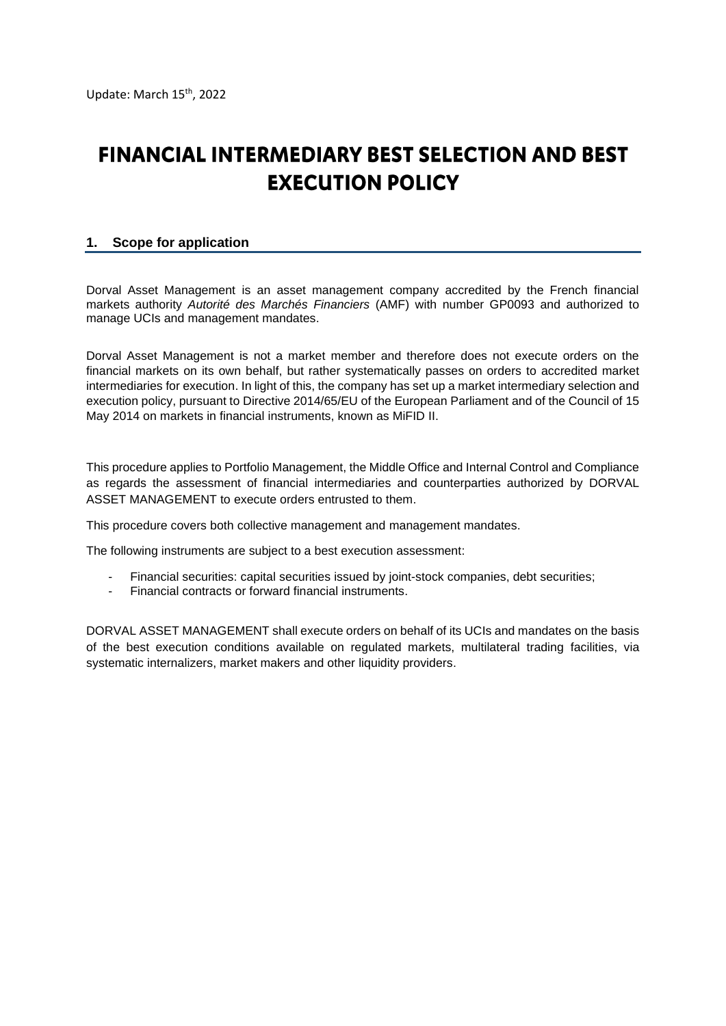# **FINANCIAL INTERMEDIARY BEST SELECTION AND BEST EXECUTION POLICY**

# **1. Scope for application**

Dorval Asset Management is an asset management company accredited by the French financial markets authority *Autorité des Marchés Financiers* (AMF) with number GP0093 and authorized to manage UCIs and management mandates.

Dorval Asset Management is not a market member and therefore does not execute orders on the financial markets on its own behalf, but rather systematically passes on orders to accredited market intermediaries for execution. In light of this, the company has set up a market intermediary selection and execution policy, pursuant to Directive 2014/65/EU of the European Parliament and of the Council of 15 May 2014 on markets in financial instruments, known as MiFID II.

This procedure applies to Portfolio Management, the Middle Office and Internal Control and Compliance as regards the assessment of financial intermediaries and counterparties authorized by DORVAL ASSET MANAGEMENT to execute orders entrusted to them.

This procedure covers both collective management and management mandates.

The following instruments are subject to a best execution assessment:

- Financial securities: capital securities issued by joint-stock companies, debt securities;
- Financial contracts or forward financial instruments.

DORVAL ASSET MANAGEMENT shall execute orders on behalf of its UCIs and mandates on the basis of the best execution conditions available on regulated markets, multilateral trading facilities, via systematic internalizers, market makers and other liquidity providers.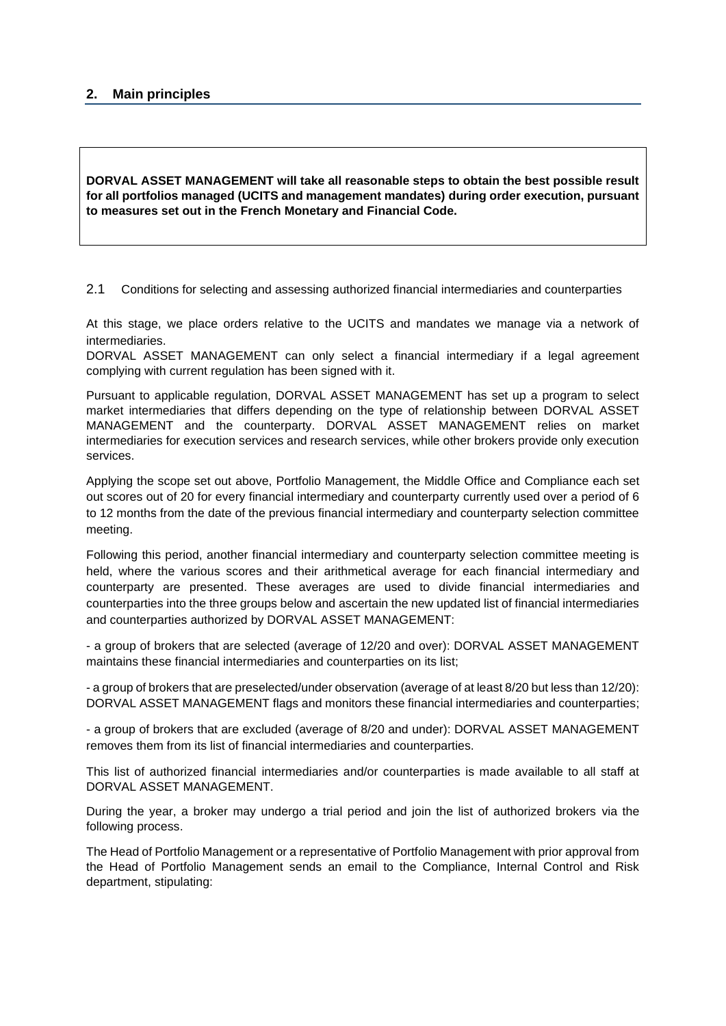## **2. Main principles**

**DORVAL ASSET MANAGEMENT will take all reasonable steps to obtain the best possible result for all portfolios managed (UCITS and management mandates) during order execution, pursuant to measures set out in the French Monetary and Financial Code.**

2.1 Conditions for selecting and assessing authorized financial intermediaries and counterparties

At this stage, we place orders relative to the UCITS and mandates we manage via a network of intermediaries.

DORVAL ASSET MANAGEMENT can only select a financial intermediary if a legal agreement complying with current regulation has been signed with it.

Pursuant to applicable regulation, DORVAL ASSET MANAGEMENT has set up a program to select market intermediaries that differs depending on the type of relationship between DORVAL ASSET MANAGEMENT and the counterparty. DORVAL ASSET MANAGEMENT relies on market intermediaries for execution services and research services, while other brokers provide only execution services.

Applying the scope set out above, Portfolio Management, the Middle Office and Compliance each set out scores out of 20 for every financial intermediary and counterparty currently used over a period of 6 to 12 months from the date of the previous financial intermediary and counterparty selection committee meeting.

Following this period, another financial intermediary and counterparty selection committee meeting is held, where the various scores and their arithmetical average for each financial intermediary and counterparty are presented. These averages are used to divide financial intermediaries and counterparties into the three groups below and ascertain the new updated list of financial intermediaries and counterparties authorized by DORVAL ASSET MANAGEMENT:

- a group of brokers that are selected (average of 12/20 and over): DORVAL ASSET MANAGEMENT maintains these financial intermediaries and counterparties on its list;

- a group of brokers that are preselected/under observation (average of at least 8/20 but less than 12/20): DORVAL ASSET MANAGEMENT flags and monitors these financial intermediaries and counterparties;

- a group of brokers that are excluded (average of 8/20 and under): DORVAL ASSET MANAGEMENT removes them from its list of financial intermediaries and counterparties.

This list of authorized financial intermediaries and/or counterparties is made available to all staff at DORVAL ASSET MANAGEMENT.

During the year, a broker may undergo a trial period and join the list of authorized brokers via the following process.

The Head of Portfolio Management or a representative of Portfolio Management with prior approval from the Head of Portfolio Management sends an email to the Compliance, Internal Control and Risk department, stipulating: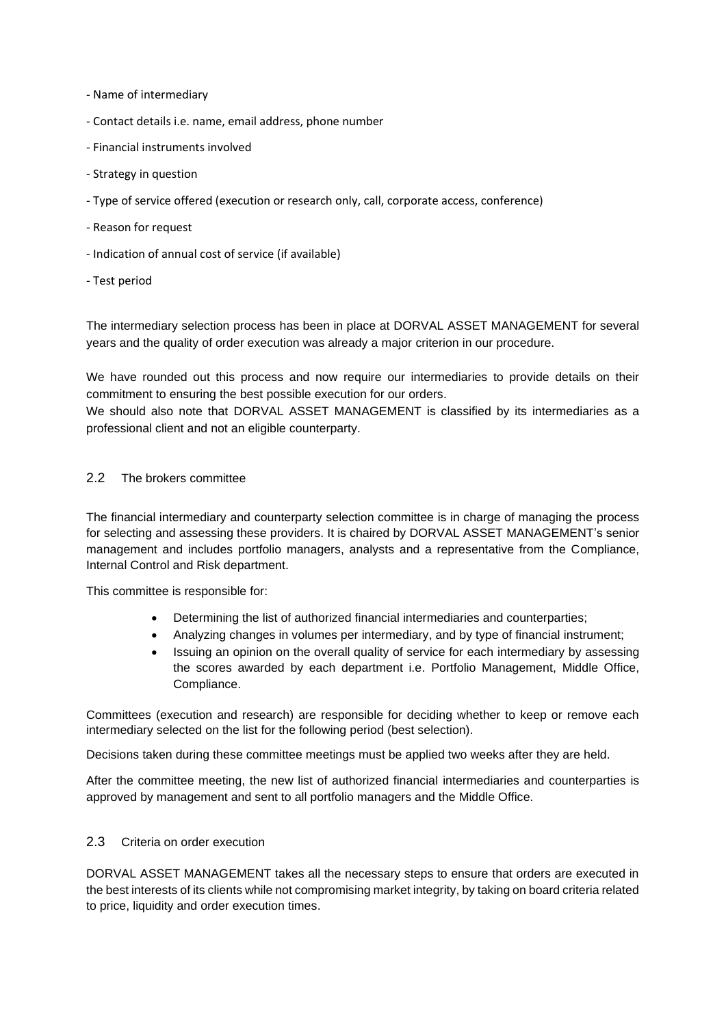- Name of intermediary
- Contact details i.e. name, email address, phone number
- Financial instruments involved
- Strategy in question
- Type of service offered (execution or research only, call, corporate access, conference)
- Reason for request
- Indication of annual cost of service (if available)
- Test period

The intermediary selection process has been in place at DORVAL ASSET MANAGEMENT for several years and the quality of order execution was already a major criterion in our procedure.

We have rounded out this process and now require our intermediaries to provide details on their commitment to ensuring the best possible execution for our orders.

We should also note that DORVAL ASSET MANAGEMENT is classified by its intermediaries as a professional client and not an eligible counterparty.

#### 2.2 The brokers committee

The financial intermediary and counterparty selection committee is in charge of managing the process for selecting and assessing these providers. It is chaired by DORVAL ASSET MANAGEMENT's senior management and includes portfolio managers, analysts and a representative from the Compliance, Internal Control and Risk department.

This committee is responsible for:

- Determining the list of authorized financial intermediaries and counterparties;
- Analyzing changes in volumes per intermediary, and by type of financial instrument;
- Issuing an opinion on the overall quality of service for each intermediary by assessing the scores awarded by each department i.e. Portfolio Management, Middle Office, Compliance.

Committees (execution and research) are responsible for deciding whether to keep or remove each intermediary selected on the list for the following period (best selection).

Decisions taken during these committee meetings must be applied two weeks after they are held.

After the committee meeting, the new list of authorized financial intermediaries and counterparties is approved by management and sent to all portfolio managers and the Middle Office.

#### 2.3 Criteria on order execution

DORVAL ASSET MANAGEMENT takes all the necessary steps to ensure that orders are executed in the best interests of its clients while not compromising market integrity, by taking on board criteria related to price, liquidity and order execution times.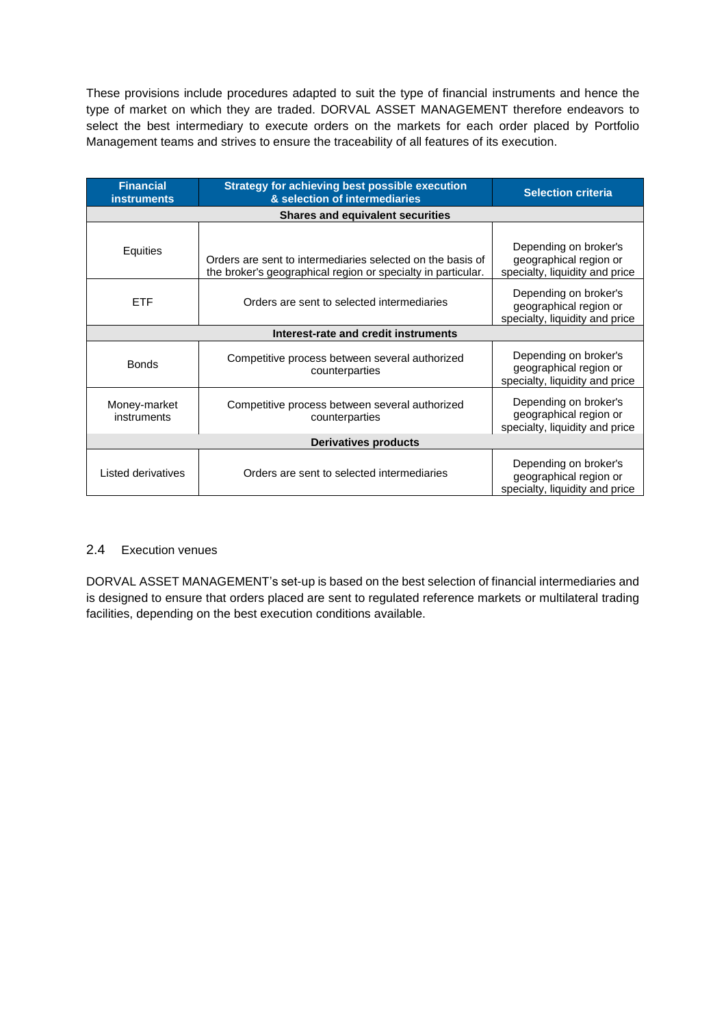These provisions include procedures adapted to suit the type of financial instruments and hence the type of market on which they are traded. DORVAL ASSET MANAGEMENT therefore endeavors to select the best intermediary to execute orders on the markets for each order placed by Portfolio Management teams and strives to ensure the traceability of all features of its execution.

| <b>Financial</b><br><b>instruments</b>  | <b>Strategy for achieving best possible execution</b><br>& selection of intermediaries                                     | <b>Selection criteria</b>                                                         |
|-----------------------------------------|----------------------------------------------------------------------------------------------------------------------------|-----------------------------------------------------------------------------------|
| <b>Shares and equivalent securities</b> |                                                                                                                            |                                                                                   |
| Equities                                | Orders are sent to intermediaries selected on the basis of<br>the broker's geographical region or specialty in particular. | Depending on broker's<br>geographical region or<br>specialty, liquidity and price |
| <b>ETF</b>                              | Orders are sent to selected intermediaries                                                                                 | Depending on broker's<br>geographical region or<br>specialty, liquidity and price |
| Interest-rate and credit instruments    |                                                                                                                            |                                                                                   |
| <b>Bonds</b>                            | Competitive process between several authorized<br>counterparties                                                           | Depending on broker's<br>geographical region or<br>specialty, liquidity and price |
| Money-market<br>instruments             | Competitive process between several authorized<br>counterparties                                                           | Depending on broker's<br>geographical region or<br>specialty, liquidity and price |
| <b>Derivatives products</b>             |                                                                                                                            |                                                                                   |
| Listed derivatives                      | Orders are sent to selected intermediaries                                                                                 | Depending on broker's<br>geographical region or<br>specialty, liquidity and price |

### 2.4 Execution venues

DORVAL ASSET MANAGEMENT's set-up is based on the best selection of financial intermediaries and is designed to ensure that orders placed are sent to regulated reference markets or multilateral trading facilities, depending on the best execution conditions available.